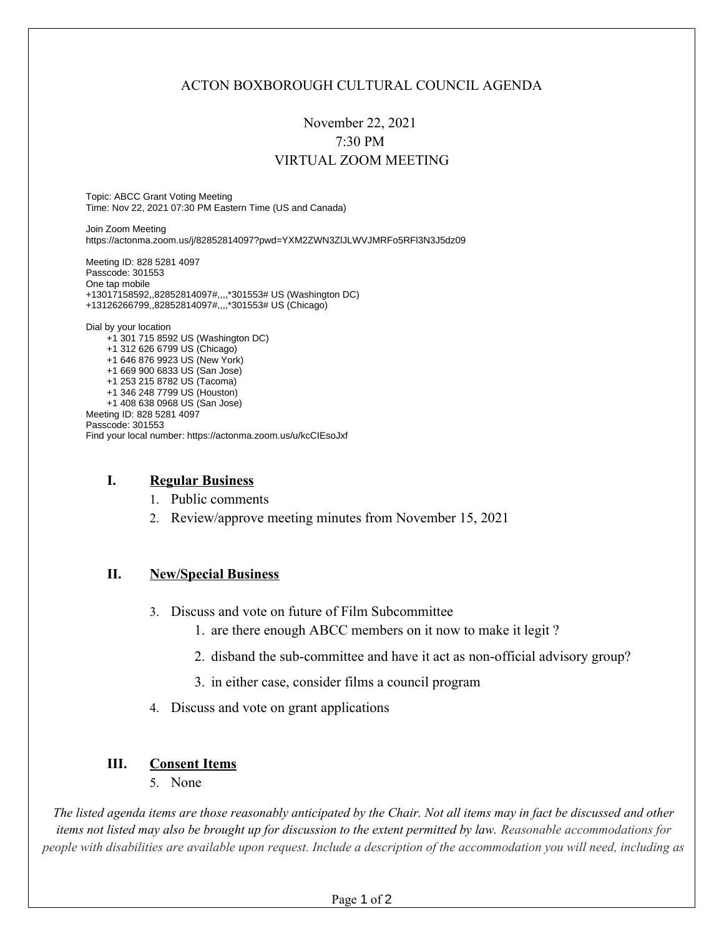## ACTON BOXBOROUGH CULTURAL COUNCIL AGENDA

# November 22, 2021 7:30 PM VIRTUAL ZOOM MEETING

Topic: ABCC Grant Voting Meeting Time: Nov 22, 2021 07:30 PM Eastern Time (US and Canada)

Join Zoom Meeting https://actonma.zoom.us/j/82852814097?pwd=YXM2ZWN3ZlJLWVJMRFo5RFl3N3J5dz09

Meeting ID: 828 5281 4097 Passcode: 301553 One tap mobile +13017158592,,82852814097#,,,,\*301553# US (Washington DC) +13126266799,,82852814097#,,,,\*301553# US (Chicago)

Dial by your location +1 301 715 8592 US (Washington DC) +1 312 626 6799 US (Chicago) +1 646 876 9923 US (New York) +1 669 900 6833 US (San Jose) +1 253 215 8782 US (Tacoma) +1 346 248 7799 US (Houston) +1 408 638 0968 US (San Jose) Meeting ID: 828 5281 4097 Passcode: 301553 Find your local number: https://actonma.zoom.us/u/kcCIEsoJxf

#### **I. Regular Business**

- 1. Public comments
- 2. Review/approve meeting minutes from November 15, 2021

#### **II. New/Special Business**

- 3. Discuss and vote on future of Film Subcommittee
	- 1. are there enough ABCC members on it now to make it legit ?
	- 2. disband the sub-committee and have it act as non-official advisory group?
	- 3. in either case, consider films a council program
- 4. Discuss and vote on grant applications

### **III. Consent Items**

5. None

*The listed agenda items are those reasonably anticipated by the Chair. Not all items may in fact be discussed and other items not listed may also be brought up for discussion to the extent permitted by law. Reasonable accommodations for people with disabilities are available upon request. Include a description of the accommodation you will need, including as*